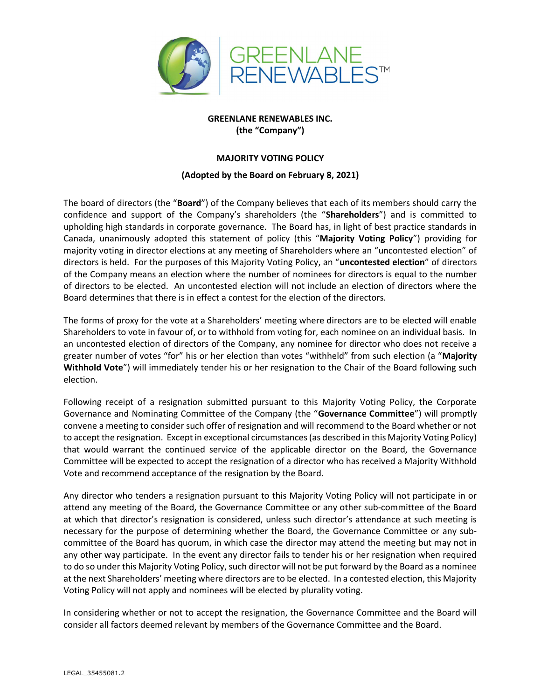

GREENLANE RENEWABLES INC. (the "Company")

## MAJORITY VOTING POLICY

## (Adopted by the Board on February 8, 2021)

The board of directors (the "Board") of the Company believes that each of its members should carry the confidence and support of the Company's shareholders (the "Shareholders") and is committed to upholding high standards in corporate governance. The Board has, in light of best practice standards in Canada, unanimously adopted this statement of policy (this "Majority Voting Policy") providing for majority voting in director elections at any meeting of Shareholders where an "uncontested election" of directors is held. For the purposes of this Majority Voting Policy, an "uncontested election" of directors of the Company means an election where the number of nominees for directors is equal to the number of directors to be elected. An uncontested election will not include an election of directors where the Board determines that there is in effect a contest for the election of the directors.

The forms of proxy for the vote at a Shareholders' meeting where directors are to be elected will enable Shareholders to vote in favour of, or to withhold from voting for, each nominee on an individual basis. In an uncontested election of directors of the Company, any nominee for director who does not receive a greater number of votes "for" his or her election than votes "withheld" from such election (a "Majority Withhold Vote") will immediately tender his or her resignation to the Chair of the Board following such election.

Following receipt of a resignation submitted pursuant to this Majority Voting Policy, the Corporate Governance and Nominating Committee of the Company (the "Governance Committee") will promptly convene a meeting to consider such offer of resignation and will recommend to the Board whether or not to accept the resignation. Except in exceptional circumstances (as described in this Majority Voting Policy) that would warrant the continued service of the applicable director on the Board, the Governance Committee will be expected to accept the resignation of a director who has received a Majority Withhold Vote and recommend acceptance of the resignation by the Board.

Any director who tenders a resignation pursuant to this Majority Voting Policy will not participate in or attend any meeting of the Board, the Governance Committee or any other sub-committee of the Board at which that director's resignation is considered, unless such director's attendance at such meeting is necessary for the purpose of determining whether the Board, the Governance Committee or any subcommittee of the Board has quorum, in which case the director may attend the meeting but may not in any other way participate. In the event any director fails to tender his or her resignation when required to do so under this Majority Voting Policy, such director will not be put forward by the Board as a nominee at the next Shareholders' meeting where directors are to be elected. In a contested election, this Majority Voting Policy will not apply and nominees will be elected by plurality voting.

In considering whether or not to accept the resignation, the Governance Committee and the Board will consider all factors deemed relevant by members of the Governance Committee and the Board.